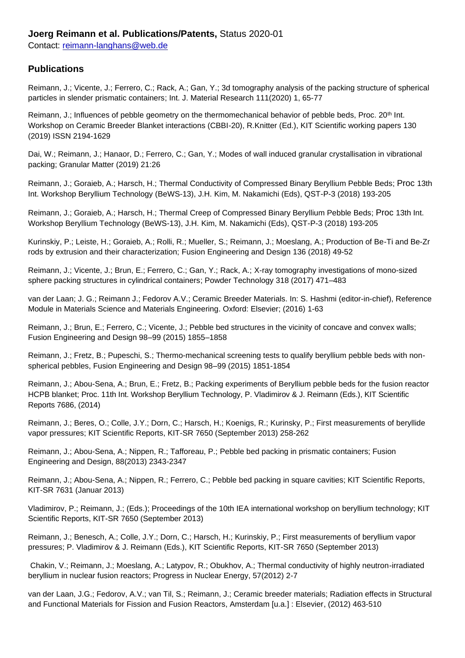## **Joerg Reimann et al. Publications/Patents,** Status 2020-01

Contact: [reimann-langhans@web.de](mailto:reimann-langhans@web.de)

## **Publications**

Reimann, J.; Vicente, J.; Ferrero, C.; Rack, A.; Gan, Y.; 3d tomography analysis of the packing structure of spherical particles in slender prismatic containers; Int. J. Material Research 111(2020) 1, 65-77

Reimann, J.; Influences of pebble geometry on the thermomechanical behavior of pebble beds, Proc. 20<sup>th</sup> Int. Workshop on Ceramic Breeder Blanket interactions (CBBI-20), R.Knitter (Ed.), KIT Scientific working papers 130 (2019) ISSN 2194-1629

Dai, W.; Reimann, J.; Hanaor, D.; Ferrero, C.; Gan, Y.; Modes of wall induced granular crystallisation in vibrational packing; Granular Matter (2019) 21:26

Reimann, J.; Goraieb, A.; Harsch, H.; Thermal Conductivity of Compressed Binary Beryllium Pebble Beds; Proc 13th Int. Workshop Beryllium Technology (BeWS-13), J.H. Kim, M. Nakamichi (Eds), QST-P-3 (2018) 193-205

Reimann, J.; Goraieb, A.; Harsch, H.; Thermal Creep of Compressed Binary Beryllium Pebble Beds; Proc 13th Int. Workshop Beryllium Technology (BeWS-13), J.H. Kim, M. Nakamichi (Eds), QST-P-3 (2018) 193-205

Kurinskiy, P.; Leiste, H.; Goraieb, A.; Rolli, R.; Mueller, S.; Reimann, J.; Moeslang, A.; Production of Be-Ti and Be-Zr rods by extrusion and their characterization; Fusion Engineering and Design 136 (2018) 49-52

Reimann, J.; Vicente, J.; Brun, E.; Ferrero, C.; Gan, Y.; Rack, A.; X-ray tomography investigations of mono-sized sphere packing structures in cylindrical containers; Powder Technology 318 (2017) 471–483

van der Laan; J. G.; Reimann J.; Fedorov A.V.; Ceramic Breeder Materials. In: S. Hashmi (editor-in-chief), Reference Module in Materials Science and Materials Engineering. Oxford: Elsevier; (2016) 1-63

Reimann, J.; Brun, E.; Ferrero, C.; Vicente, J.; Pebble bed structures in the vicinity of concave and convex walls; Fusion Engineering and Design 98–99 (2015) 1855–1858

Reimann, J.; Fretz, B.; Pupeschi, S.; Thermo-mechanical screening tests to qualify beryllium pebble beds with nonspherical pebbles, Fusion Engineering and Design 98–99 (2015) 1851-1854

Reimann, J.; Abou-Sena, A.; Brun, E.; Fretz, B.; Packing experiments of Beryllium pebble beds for the fusion reactor HCPB blanket; Proc. 11th Int. Workshop Beryllium Technology, P. Vladimirov & J. Reimann (Eds.), KIT Scientific Reports 7686, (2014)

Reimann, J.; Beres, O.; Colle, J.Y.; Dorn, C.; Harsch, H.; Koenigs, R.; Kurinsky, P.; First measurements of beryllide vapor pressures; KIT Scientific Reports, KIT-SR 7650 (September 2013) 258-262

Reimann, J.; Abou-Sena, A.; Nippen, R.; Tafforeau, P.; Pebble bed packing in prismatic containers; Fusion Engineering and Design, 88(2013) 2343-2347

Reimann, J.; Abou-Sena, A.; Nippen, R.; Ferrero, C.; Pebble bed packing in square cavities; KIT Scientific Reports, KIT-SR 7631 (Januar 2013)

Vladimirov, P.; Reimann, J.; (Eds.); Proceedings of the 10th IEA international workshop on beryllium technology; KIT Scientific Reports, KIT-SR 7650 (September 2013)

Reimann, J.; Benesch, A.; Colle, J.Y.; Dorn, C.; Harsch, H.; Kurinskiy, P.; First measurements of beryllium vapor pressures; P. Vladimirov & J. Reimann (Eds.), KIT Scientific Reports, KIT-SR 7650 (September 2013)

Chakin, V.; Reimann, J.; Moeslang, A.; Latypov, R.; Obukhov, A.; Thermal conductivity of highly neutron-irradiated beryllium in nuclear fusion reactors; Progress in Nuclear Energy, 57(2012) 2-7

van der Laan, J.G.; Fedorov, A.V.; van Til, S.; Reimann, J.; Ceramic breeder materials; Radiation effects in Structural and Functional Materials for Fission and Fusion Reactors, Amsterdam [u.a.] : Elsevier, (2012) 463-510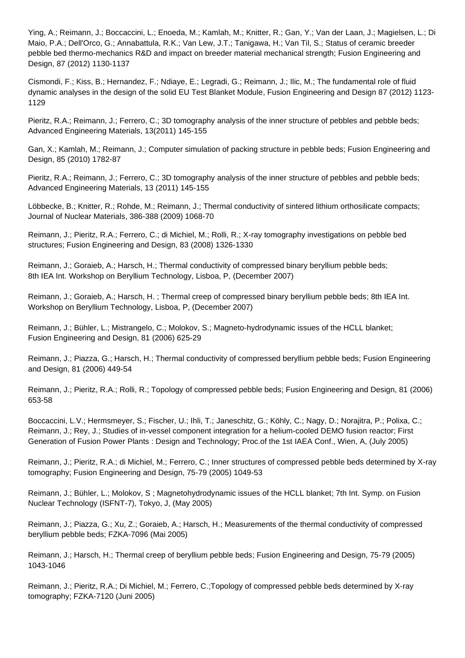Ying, A.; Reimann, J.; Boccaccini, L.; Enoeda, M.; Kamlah, M.; Knitter, R.; Gan, Y.; Van der Laan, J.; Magielsen, L.; Di Maio, P.A.; Dell'Orco, G.; Annabattula, R.K.; Van Lew, J.T.; Tanigawa, H.; Van Til, S.; Status of ceramic breeder pebble bed thermo-mechanics R&D and impact on breeder material mechanical strength; Fusion Engineering and Design, 87 (2012) 1130-1137

Cismondi, F.; Kiss, B.; Hernandez, F.; Ndiaye, E.; Legradi, G.; Reimann, J.; Ilic, M.; The fundamental role of fluid dynamic analyses in the design of the solid EU Test Blanket Module, Fusion Engineering and Design 87 (2012) 1123- 1129

Pieritz, R.A.; Reimann, J.; Ferrero, C.; 3D tomography analysis of the inner structure of pebbles and pebble beds; Advanced Engineering Materials, 13(2011) 145-155

Gan, X.; Kamlah, M.; Reimann, J.; Computer simulation of packing structure in pebble beds; Fusion Engineering and Design, 85 (2010) 1782-87

Pieritz, R.A.; Reimann, J.; Ferrero, C.; 3D tomography analysis of the inner structure of pebbles and pebble beds; Advanced Engineering Materials, 13 (2011) 145-155

Löbbecke, B.; Knitter, R.; Rohde, M.; Reimann, J.; Thermal conductivity of sintered lithium orthosilicate compacts; Journal of Nuclear Materials, 386-388 (2009) 1068-70

Reimann, J.; Pieritz, R.A.; Ferrero, C.; di Michiel, M.; Rolli, R.; X-ray tomography investigations on pebble bed structures; Fusion Engineering and Design, 83 (2008) 1326-1330

Reimann, J.; Goraieb, A.; Harsch, H.; Thermal conductivity of compressed binary beryllium pebble beds; 8th IEA Int. Workshop on Beryllium Technology, Lisboa, P, (December 2007)

Reimann, J.; Goraieb, A.; Harsch, H. ; Thermal creep of compressed binary beryllium pebble beds; 8th IEA Int. Workshop on Beryllium Technology, Lisboa, P, (December 2007)

Reimann, J.; Bühler, L.; Mistrangelo, C.; Molokov, S.; Magneto-hydrodynamic issues of the HCLL blanket; Fusion Engineering and Design, 81 (2006) 625-29

Reimann, J.; Piazza, G.; Harsch, H.; Thermal conductivity of compressed beryllium pebble beds; Fusion Engineering and Design, 81 (2006) 449-54

Reimann, J.; Pieritz, R.A.; Rolli, R.; Topology of compressed pebble beds; Fusion Engineering and Design, 81 (2006) 653-58

Boccaccini, L.V.; Hermsmeyer, S.; Fischer, U.; Ihli, T.; Janeschitz, G.; Köhly, C.; Nagy, D.; Norajitra, P.; Polixa, C.; Reimann, J.; Rey, J.; Studies of in-vessel component integration for a helium-cooled DEMO fusion reactor; First Generation of Fusion Power Plants : Design and Technology; Proc.of the 1st IAEA Conf., Wien, A, (July 2005)

Reimann, J.; Pieritz, R.A.; di Michiel, M.; Ferrero, C.; Inner structures of compressed pebble beds determined by X-ray tomography; Fusion Engineering and Design, 75-79 (2005) 1049-53

Reimann, J.; Bühler, L.; Molokov, S ; Magnetohydrodynamic issues of the HCLL blanket; 7th Int. Symp. on Fusion Nuclear Technology (ISFNT-7), Tokyo, J, (May 2005)

Reimann, J.; Piazza, G.; Xu, Z.; Goraieb, A.; Harsch, H.; Measurements of the thermal conductivity of compressed beryllium pebble beds; FZKA-7096 (Mai 2005)

Reimann, J.; Harsch, H.; Thermal creep of beryllium pebble beds; Fusion Engineering and Design, 75-79 (2005) 1043-1046

Reimann, J.; Pieritz, R.A.; Di Michiel, M.; Ferrero, C.;Topology of compressed pebble beds determined by X-ray tomography; FZKA-7120 (Juni 2005)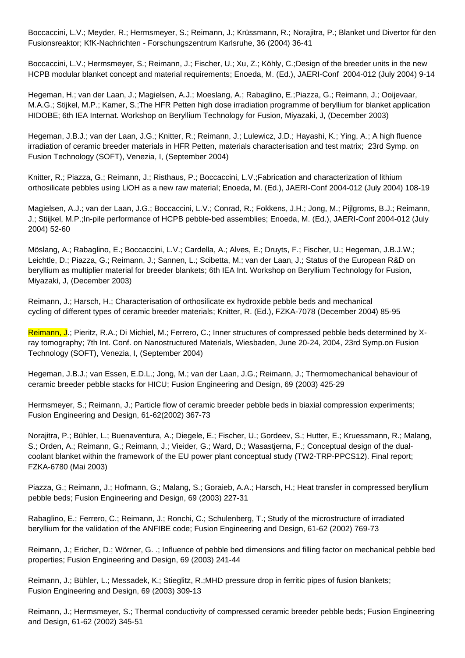Boccaccini, L.V.; Meyder, R.; Hermsmeyer, S.; Reimann, J.; Krüssmann, R.; Norajitra, P.; Blanket und Divertor für den Fusionsreaktor; KfK-Nachrichten - Forschungszentrum Karlsruhe, 36 (2004) 36-41

Boccaccini, L.V.; Hermsmeyer, S.; Reimann, J.; Fischer, U.; Xu, Z.; Köhly, C.;Design of the breeder units in the new HCPB modular blanket concept and material requirements; Enoeda, M. (Ed.), JAERI-Conf 2004-012 (July 2004) 9-14

Hegeman, H.; van der Laan, J.; Magielsen, A.J.; Moeslang, A.; Rabaglino, E.;Piazza, G.; Reimann, J.; Ooijevaar, M.A.G.; Stijkel, M.P.; Kamer, S.;The HFR Petten high dose irradiation programme of beryllium for blanket application HIDOBE; 6th IEA Internat. Workshop on Beryllium Technology for Fusion, Miyazaki, J, (December 2003)

Hegeman, J.B.J.; van der Laan, J.G.; Knitter, R.; Reimann, J.; Lulewicz, J.D.; Hayashi, K.; Ying, A.; A high fluence irradiation of ceramic breeder materials in HFR Petten, materials characterisation and test matrix; 23rd Symp. on Fusion Technology (SOFT), Venezia, I, (September 2004)

Knitter, R.; Piazza, G.; Reimann, J.; Risthaus, P.; Boccaccini, L.V.;Fabrication and characterization of lithium orthosilicate pebbles using LiOH as a new raw material; Enoeda, M. (Ed.), JAERI-Conf 2004-012 (July 2004) 108-19

Magielsen, A.J.; van der Laan, J.G.; Boccaccini, L.V.; Conrad, R.; Fokkens, J.H.; Jong, M.; Pijlgroms, B.J.; Reimann, J.; Stiijkel, M.P.;In-pile performance of HCPB pebble-bed assemblies; Enoeda, M. (Ed.), JAERI-Conf 2004-012 (July 2004) 52-60

Möslang, A.; Rabaglino, E.; Boccaccini, L.V.; Cardella, A.; Alves, E.; Druyts, F.; Fischer, U.; Hegeman, J.B.J.W.; Leichtle, D.; Piazza, G.; Reimann, J.; Sannen, L.; Scibetta, M.; van der Laan, J.; Status of the European R&D on beryllium as multiplier material for breeder blankets; 6th IEA Int. Workshop on Beryllium Technology for Fusion, Miyazaki, J, (December 2003)

Reimann, J.; Harsch, H.; Characterisation of orthosilicate ex hydroxide pebble beds and mechanical cycling of different types of ceramic breeder materials; Knitter, R. (Ed.), FZKA-7078 (December 2004) 85-95

Reimann, J.; Pieritz, R.A.; Di Michiel, M.; Ferrero, C.; Inner structures of compressed pebble beds determined by Xray tomography; 7th Int. Conf. on Nanostructured Materials, Wiesbaden, June 20-24, 2004, 23rd Symp.on Fusion Technology (SOFT), Venezia, I, (September 2004)

Hegeman, J.B.J.; van Essen, E.D.L.; Jong, M.; van der Laan, J.G.; Reimann, J.; Thermomechanical behaviour of ceramic breeder pebble stacks for HICU; Fusion Engineering and Design, 69 (2003) 425-29

Hermsmeyer, S.; Reimann, J.; Particle flow of ceramic breeder pebble beds in biaxial compression experiments; Fusion Engineering and Design, 61-62(2002) 367-73

Norajitra, P.; Bühler, L.; Buenaventura, A.; Diegele, E.; Fischer, U.; Gordeev, S.; Hutter, E.; Kruessmann, R.; Malang, S.; Orden, A.; Reimann, G.; Reimann, J.; Vieider, G.; Ward, D.; Wasastjerna, F.; Conceptual design of the dualcoolant blanket within the framework of the EU power plant conceptual study (TW2-TRP-PPCS12). Final report; FZKA-6780 (Mai 2003)

Piazza, G.; Reimann, J.; Hofmann, G.; Malang, S.; Goraieb, A.A.; Harsch, H.; Heat transfer in compressed beryllium pebble beds; Fusion Engineering and Design, 69 (2003) 227-31

Rabaglino, E.; Ferrero, C.; Reimann, J.; Ronchi, C.; Schulenberg, T.; Study of the microstructure of irradiated beryllium for the validation of the ANFIBE code; Fusion Engineering and Design, 61-62 (2002) 769-73

Reimann, J.; Ericher, D.; Wörner, G. .; Influence of pebble bed dimensions and filling factor on mechanical pebble bed properties; Fusion Engineering and Design, 69 (2003) 241-44

Reimann, J.; Bühler, L.; Messadek, K.; Stieglitz, R.;MHD pressure drop in ferritic pipes of fusion blankets; Fusion Engineering and Design, 69 (2003) 309-13

Reimann, J.; Hermsmeyer, S.; Thermal conductivity of compressed ceramic breeder pebble beds; Fusion Engineering and Design, 61-62 (2002) 345-51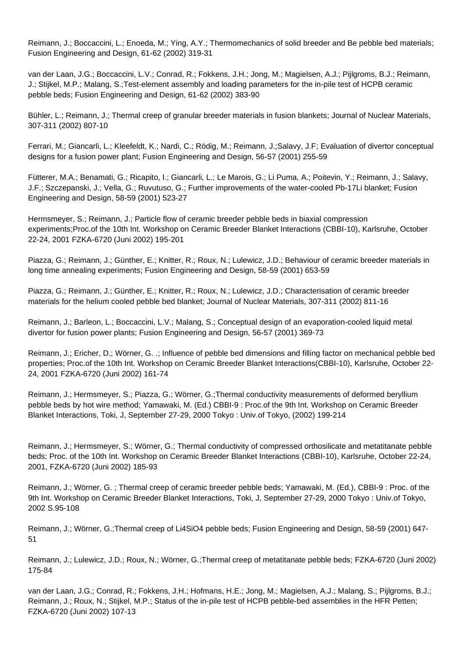Reimann, J.; Boccaccini, L.; Enoeda, M.; Ying, A.Y.; Thermomechanics of solid breeder and Be pebble bed materials; Fusion Engineering and Design, 61-62 (2002) 319-31

van der Laan, J.G.; Boccaccini, L.V.; Conrad, R.; Fokkens, J.H.; Jong, M.; Magielsen, A.J.; Pijlgroms, B.J.; Reimann, J.; Stijkel, M.P.; Malang, S.;Test-element assembly and loading parameters for the in-pile test of HCPB ceramic pebble beds; Fusion Engineering and Design, 61-62 (2002) 383-90

Bühler, L.; Reimann, J.; Thermal creep of granular breeder materials in fusion blankets; Journal of Nuclear Materials, 307-311 (2002) 807-10

Ferrari, M.; Giancarli, L.; Kleefeldt, K.; Nardi, C.; Rödig, M.; Reimann, J.;Salavy, J.F; Evaluation of divertor conceptual designs for a fusion power plant; Fusion Engineering and Design, 56-57 (2001) 255-59

Fütterer, M.A.; Benamati, G.; Ricapito, I.; Giancarli, L.; Le Marois, G.; Li Puma, A.; Poitevin, Y.; Reimann, J.; Salavy, J.F.; Szczepanski, J.; Vella, G.; Ruvutuso, G.; Further improvements of the water-cooled Pb-17Li blanket; Fusion Engineering and Design, 58-59 (2001) 523-27

Hermsmeyer, S.; Reimann, J.; Particle flow of ceramic breeder pebble beds in biaxial compression experiments;Proc.of the 10th Int. Workshop on Ceramic Breeder Blanket Interactions (CBBI-10), Karlsruhe, October 22-24, 2001 FZKA-6720 (Juni 2002) 195-201

Piazza, G.; Reimann, J.; Günther, E.; Knitter, R.; Roux, N.; Lulewicz, J.D.; Behaviour of ceramic breeder materials in long time annealing experiments; Fusion Engineering and Design, 58-59 (2001) 653-59

Piazza, G.; Reimann, J.; Günther, E.; Knitter, R.; Roux, N.; Lulewicz, J.D.; Characterisation of ceramic breeder materials for the helium cooled pebble bed blanket; Journal of Nuclear Materials, 307-311 (2002) 811-16

Reimann, J.; Barleon, L.; Boccaccini, L.V.; Malang, S.; Conceptual design of an evaporation-cooled liquid metal divertor for fusion power plants; Fusion Engineering and Design, 56-57 (2001) 369-73

Reimann, J.; Ericher, D.; Wörner, G. .; Influence of pebble bed dimensions and filling factor on mechanical pebble bed properties; Proc.of the 10th Int. Workshop on Ceramic Breeder Blanket Interactions(CBBI-10), Karlsruhe, October 22- 24, 2001 FZKA-6720 (Juni 2002) 161-74

Reimann, J.; Hermsmeyer, S.; Piazza, G.; Wörner, G.;Thermal conductivity measurements of deformed beryllium pebble beds by hot wire method; Yamawaki, M. (Ed.) CBBI-9 : Proc.of the 9th Int. Workshop on Ceramic Breeder Blanket Interactions, Toki, J, September 27-29, 2000 Tokyo : Univ.of Tokyo, (2002) 199-214

Reimann, J.; Hermsmeyer, S.; Wörner, G.; Thermal conductivity of compressed orthosilicate and metatitanate pebble beds; Proc. of the 10th Int. Workshop on Ceramic Breeder Blanket Interactions (CBBI-10), Karlsruhe, October 22-24, 2001, FZKA-6720 (Juni 2002) 185-93

Reimann, J.; Wörner, G. ; Thermal creep of ceramic breeder pebble beds; Yamawaki, M. (Ed.), CBBI-9 : Proc. of the 9th Int. Workshop on Ceramic Breeder Blanket Interactions, Toki, J, September 27-29, 2000 Tokyo : Univ.of Tokyo, 2002 S.95-108

Reimann, J.; Wörner, G.;Thermal creep of Li4SiO4 pebble beds; Fusion Engineering and Design, 58-59 (2001) 647- 51

Reimann, J.; Lulewicz, J.D.; Roux, N.; Wörner, G.;Thermal creep of metatitanate pebble beds; FZKA-6720 (Juni 2002) 175-84

van der Laan, J.G.; Conrad, R.; Fokkens, J.H.; Hofmans, H.E.; Jong, M.; Magielsen, A.J.; Malang, S.; Pijlgroms, B.J.; Reimann, J.; Roux, N.; Stijkel, M.P.; Status of the in-pile test of HCPB pebble-bed assemblies in the HFR Petten; FZKA-6720 (Juni 2002) 107-13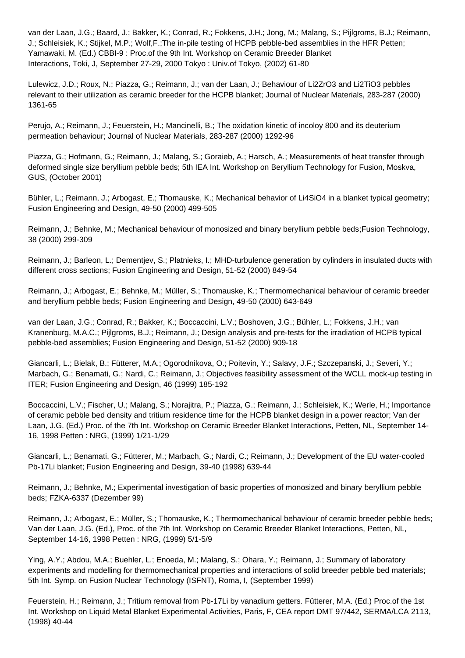van der Laan, J.G.; Baard, J.; Bakker, K.; Conrad, R.; Fokkens, J.H.; Jong, M.; Malang, S.; Pijlgroms, B.J.; Reimann, J.; Schleisiek, K.; Stijkel, M.P.; Wolf,F.;The in-pile testing of HCPB pebble-bed assemblies in the HFR Petten; Yamawaki, M. (Ed.) CBBI-9 : Proc.of the 9th Int. Workshop on Ceramic Breeder Blanket Interactions, Toki, J, September 27-29, 2000 Tokyo : Univ.of Tokyo, (2002) 61-80

Lulewicz, J.D.; Roux, N.; Piazza, G.; Reimann, J.; van der Laan, J.; Behaviour of Li2ZrO3 and Li2TiO3 pebbles relevant to their utilization as ceramic breeder for the HCPB blanket; Journal of Nuclear Materials, 283-287 (2000) 1361-65

Perujo, A.; Reimann, J.; Feuerstein, H.; Mancinelli, B.; The oxidation kinetic of incoloy 800 and its deuterium permeation behaviour; Journal of Nuclear Materials, 283-287 (2000) 1292-96

Piazza, G.; Hofmann, G.; Reimann, J.; Malang, S.; Goraieb, A.; Harsch, A.; Measurements of heat transfer through deformed single size beryllium pebble beds; 5th IEA Int. Workshop on Beryllium Technology for Fusion, Moskva, GUS, (October 2001)

Bühler, L.; Reimann, J.; Arbogast, E.; Thomauske, K.; Mechanical behavior of Li4SiO4 in a blanket typical geometry; Fusion Engineering and Design, 49-50 (2000) 499-505

Reimann, J.; Behnke, M.; Mechanical behaviour of monosized and binary beryllium pebble beds;Fusion Technology, 38 (2000) 299-309

Reimann, J.; Barleon, L.; Dementjev, S.; Platnieks, I.; MHD-turbulence generation by cylinders in insulated ducts with different cross sections; Fusion Engineering and Design, 51-52 (2000) 849-54

Reimann, J.; Arbogast, E.; Behnke, M.; Müller, S.; Thomauske, K.; Thermomechanical behaviour of ceramic breeder and beryllium pebble beds; Fusion Engineering and Design, 49-50 (2000) 643-649

van der Laan, J.G.; Conrad, R.; Bakker, K.; Boccaccini, L.V.; Boshoven, J.G.; Bühler, L.; Fokkens, J.H.; van Kranenburg, M.A.C.; Pijlgroms, B.J.; Reimann, J.; Design analysis and pre-tests for the irradiation of HCPB typical pebble-bed assemblies; Fusion Engineering and Design, 51-52 (2000) 909-18

Giancarli, L.; Bielak, B.; Fütterer, M.A.; Ogorodnikova, O.; Poitevin, Y.; Salavy, J.F.; Szczepanski, J.; Severi, Y.; Marbach, G.; Benamati, G.; Nardi, C.; Reimann, J.; Objectives feasibility assessment of the WCLL mock-up testing in ITER; Fusion Engineering and Design, 46 (1999) 185-192

Boccaccini, L.V.; Fischer, U.; Malang, S.; Norajitra, P.; Piazza, G.; Reimann, J.; Schleisiek, K.; Werle, H.; Importance of ceramic pebble bed density and tritium residence time for the HCPB blanket design in a power reactor; Van der Laan, J.G. (Ed.) Proc. of the 7th Int. Workshop on Ceramic Breeder Blanket Interactions, Petten, NL, September 14- 16, 1998 Petten : NRG, (1999) 1/21-1/29

Giancarli, L.; Benamati, G.; Fütterer, M.; Marbach, G.; Nardi, C.; Reimann, J.; Development of the EU water-cooled Pb-17Li blanket; Fusion Engineering and Design, 39-40 (1998) 639-44

Reimann, J.; Behnke, M.; Experimental investigation of basic properties of monosized and binary beryllium pebble beds; FZKA-6337 (Dezember 99)

Reimann, J.; Arbogast, E.; Müller, S.; Thomauske, K.; Thermomechanical behaviour of ceramic breeder pebble beds; Van der Laan, J.G. (Ed.), Proc. of the 7th Int. Workshop on Ceramic Breeder Blanket Interactions, Petten, NL, September 14-16, 1998 Petten : NRG, (1999) 5/1-5/9

Ying, A.Y.; Abdou, M.A.; Buehler, L.; Enoeda, M.; Malang, S.; Ohara, Y.; Reimann, J.; Summary of laboratory experiments and modelling for thermomechanical properties and interactions of solid breeder pebble bed materials; 5th Int. Symp. on Fusion Nuclear Technology (ISFNT), Roma, I, (September 1999)

Feuerstein, H.; Reimann, J.; Tritium removal from Pb-17Li by vanadium getters. Fütterer, M.A. (Ed.) Proc.of the 1st Int. Workshop on Liquid Metal Blanket Experimental Activities, Paris, F, CEA report DMT 97/442, SERMA/LCA 2113, (1998) 40-44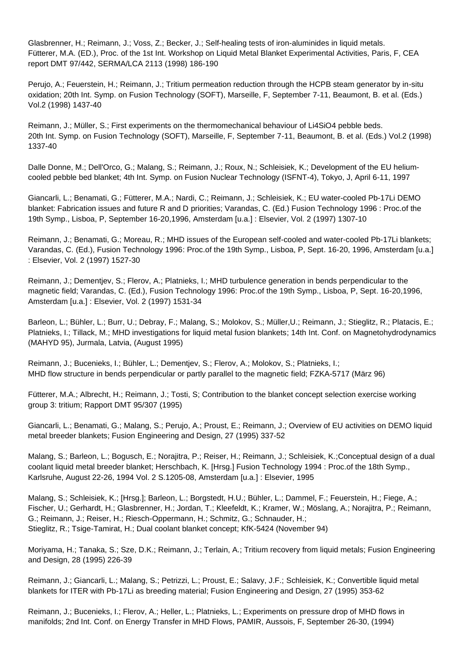Glasbrenner, H.; Reimann, J.; Voss, Z.; Becker, J.; Self-healing tests of iron-aluminides in liquid metals. Fütterer, M.A. (ED.), Proc. of the 1st Int. Workshop on Liquid Metal Blanket Experimental Activities, Paris, F, CEA report DMT 97/442, SERMA/LCA 2113 (1998) 186-190

Perujo, A.; Feuerstein, H.; Reimann, J.; Tritium permeation reduction through the HCPB steam generator by in-situ oxidation; 20th Int. Symp. on Fusion Technology (SOFT), Marseille, F, September 7-11, Beaumont, B. et al. (Eds.) Vol.2 (1998) 1437-40

Reimann, J.; Müller, S.; First experiments on the thermomechanical behaviour of Li4SiO4 pebble beds. 20th Int. Symp. on Fusion Technology (SOFT), Marseille, F, September 7-11, Beaumont, B. et al. (Eds.) Vol.2 (1998) 1337-40

Dalle Donne, M.; Dell'Orco, G.; Malang, S.; Reimann, J.; Roux, N.; Schleisiek, K.; Development of the EU heliumcooled pebble bed blanket; 4th Int. Symp. on Fusion Nuclear Technology (ISFNT-4), Tokyo, J, April 6-11, 1997

Giancarli, L.; Benamati, G.; Fütterer, M.A.; Nardi, C.; Reimann, J.; Schleisiek, K.; EU water-cooled Pb-17Li DEMO blanket: Fabrication issues and future R and D priorities; Varandas, C. (Ed.) Fusion Technology 1996 : Proc.of the 19th Symp., Lisboa, P, September 16-20,1996, Amsterdam [u.a.] : Elsevier, Vol. 2 (1997) 1307-10

Reimann, J.; Benamati, G.; Moreau, R.; MHD issues of the European self-cooled and water-cooled Pb-17Li blankets; Varandas, C. (Ed.), Fusion Technology 1996: Proc.of the 19th Symp., Lisboa, P, Sept. 16-20, 1996, Amsterdam [u.a.] : Elsevier, Vol. 2 (1997) 1527-30

Reimann, J.; Dementjev, S.; Flerov, A.; Platnieks, I.; MHD turbulence generation in bends perpendicular to the magnetic field; Varandas, C. (Ed.), Fusion Technology 1996: Proc.of the 19th Symp., Lisboa, P, Sept. 16-20,1996, Amsterdam [u.a.] : Elsevier, Vol. 2 (1997) 1531-34

Barleon, L.; Bühler, L.; Burr, U.; Debray, F.; Malang, S.; Molokov, S.; Müller,U.; Reimann, J.; Stieglitz, R.; Platacis, E.; Platnieks, I.; Tillack, M.; MHD investigations for liquid metal fusion blankets; 14th Int. Conf. on Magnetohydrodynamics (MAHYD 95), Jurmala, Latvia, (August 1995)

Reimann, J.; Bucenieks, I.; Bühler, L.; Dementjev, S.; Flerov, A.; Molokov, S.; Platnieks, I.; MHD flow structure in bends perpendicular or partly parallel to the magnetic field; FZKA-5717 (März 96)

Fütterer, M.A.; Albrecht, H.; Reimann, J.; Tosti, S; Contribution to the blanket concept selection exercise working group 3: tritium; Rapport DMT 95/307 (1995)

Giancarli, L.; Benamati, G.; Malang, S.; Perujo, A.; Proust, E.; Reimann, J.; Overview of EU activities on DEMO liquid metal breeder blankets; Fusion Engineering and Design, 27 (1995) 337-52

Malang, S.; Barleon, L.; Bogusch, E.; Norajitra, P.; Reiser, H.; Reimann, J.; Schleisiek, K.;Conceptual design of a dual coolant liquid metal breeder blanket; Herschbach, K. [Hrsg.] Fusion Technology 1994 : Proc.of the 18th Symp., Karlsruhe, August 22-26, 1994 Vol. 2 S.1205-08, Amsterdam [u.a.] : Elsevier, 1995

Malang, S.; Schleisiek, K.; [Hrsg.]; Barleon, L.; Borgstedt, H.U.; Bühler, L.; Dammel, F.; Feuerstein, H.; Fiege, A.; Fischer, U.; Gerhardt, H.; Glasbrenner, H.; Jordan, T.; Kleefeldt, K.; Kramer, W.; Möslang, A.; Norajitra, P.; Reimann, G.; Reimann, J.; Reiser, H.; Riesch-Oppermann, H.; Schmitz, G.; Schnauder, H.; Stieglitz, R.; Tsige-Tamirat, H.; Dual coolant blanket concept; KfK-5424 (November 94)

Moriyama, H.; Tanaka, S.; Sze, D.K.; Reimann, J.; Terlain, A.; Tritium recovery from liquid metals; Fusion Engineering and Design, 28 (1995) 226-39

Reimann, J.; Giancarli, L.; Malang, S.; Petrizzi, L.; Proust, E.; Salavy, J.F.; Schleisiek, K.; Convertible liquid metal blankets for ITER with Pb-17Li as breeding material; Fusion Engineering and Design, 27 (1995) 353-62

Reimann, J.; Bucenieks, I.; Flerov, A.; Heller, L.; Platnieks, L.; Experiments on pressure drop of MHD flows in manifolds; 2nd Int. Conf. on Energy Transfer in MHD Flows, PAMIR, Aussois, F, September 26-30, (1994)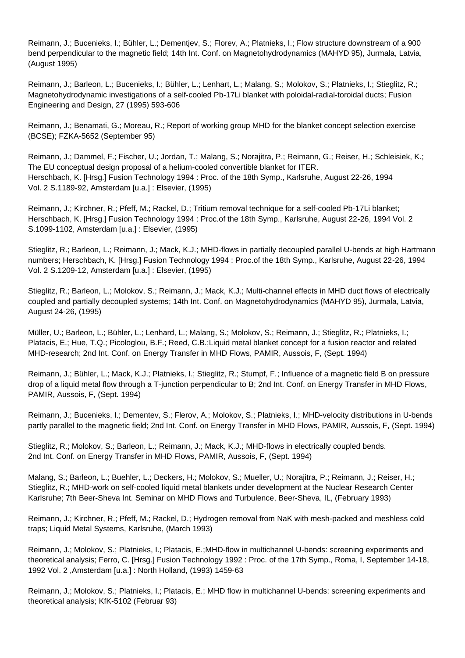Reimann, J.; Bucenieks, I.; Bühler, L.; Dementjev, S.; Florev, A.; Platnieks, I.; Flow structure downstream of a 900 bend perpendicular to the magnetic field; 14th Int. Conf. on Magnetohydrodynamics (MAHYD 95), Jurmala, Latvia, (August 1995)

Reimann, J.; Barleon, L.; Bucenieks, I.; Bühler, L.; Lenhart, L.; Malang, S.; Molokov, S.; Platnieks, I.; Stieglitz, R.; Magnetohydrodynamic investigations of a self-cooled Pb-17Li blanket with poloidal-radial-toroidal ducts; Fusion Engineering and Design, 27 (1995) 593-606

Reimann, J.; Benamati, G.; Moreau, R.; Report of working group MHD for the blanket concept selection exercise (BCSE); FZKA-5652 (September 95)

Reimann, J.; Dammel, F.; Fischer, U.; Jordan, T.; Malang, S.; Norajitra, P.; Reimann, G.; Reiser, H.; Schleisiek, K.; The EU conceptual design proposal of a helium-cooled convertible blanket for ITER. Herschbach, K. [Hrsg.] Fusion Technology 1994 : Proc. of the 18th Symp., Karlsruhe, August 22-26, 1994 Vol. 2 S.1189-92, Amsterdam [u.a.] : Elsevier, (1995)

Reimann, J.; Kirchner, R.; Pfeff, M.; Rackel, D.; Tritium removal technique for a self-cooled Pb-17Li blanket; Herschbach, K. [Hrsg.] Fusion Technology 1994 : Proc.of the 18th Symp., Karlsruhe, August 22-26, 1994 Vol. 2 S.1099-1102, Amsterdam [u.a.] : Elsevier, (1995)

Stieglitz, R.; Barleon, L.; Reimann, J.; Mack, K.J.; MHD-flows in partially decoupled parallel U-bends at high Hartmann numbers; Herschbach, K. [Hrsg.] Fusion Technology 1994 : Proc.of the 18th Symp., Karlsruhe, August 22-26, 1994 Vol. 2 S.1209-12, Amsterdam [u.a.] : Elsevier, (1995)

Stieglitz, R.; Barleon, L.; Molokov, S.; Reimann, J.; Mack, K.J.; Multi-channel effects in MHD duct flows of electrically coupled and partially decoupled systems; 14th Int. Conf. on Magnetohydrodynamics (MAHYD 95), Jurmala, Latvia, August 24-26, (1995)

Müller, U.; Barleon, L.; Bühler, L.; Lenhard, L.; Malang, S.; Molokov, S.; Reimann, J.; Stieglitz, R.; Platnieks, I.; Platacis, E.; Hue, T.Q.; Picologlou, B.F.; Reed, C.B.;Liquid metal blanket concept for a fusion reactor and related MHD-research; 2nd Int. Conf. on Energy Transfer in MHD Flows, PAMIR, Aussois, F, (Sept. 1994)

Reimann, J.; Bühler, L.; Mack, K.J.; Platnieks, I.; Stieglitz, R.; Stumpf, F.; Influence of a magnetic field B on pressure drop of a liquid metal flow through a T-junction perpendicular to B; 2nd Int. Conf. on Energy Transfer in MHD Flows, PAMIR, Aussois, F, (Sept. 1994)

Reimann, J.; Bucenieks, I.; Dementev, S.; Flerov, A.; Molokov, S.; Platnieks, I.; MHD-velocity distributions in U-bends partly parallel to the magnetic field; 2nd Int. Conf. on Energy Transfer in MHD Flows, PAMIR, Aussois, F, (Sept. 1994)

Stieglitz, R.; Molokov, S.; Barleon, L.; Reimann, J.; Mack, K.J.; MHD-flows in electrically coupled bends. 2nd Int. Conf. on Energy Transfer in MHD Flows, PAMIR, Aussois, F, (Sept. 1994)

Malang, S.; Barleon, L.; Buehler, L.; Deckers, H.; Molokov, S.; Mueller, U.; Norajitra, P.; Reimann, J.; Reiser, H.; Stieglitz, R.; MHD-work on self-cooled liquid metal blankets under development at the Nuclear Research Center Karlsruhe; 7th Beer-Sheva Int. Seminar on MHD Flows and Turbulence, Beer-Sheva, IL, (February 1993)

Reimann, J.; Kirchner, R.; Pfeff, M.; Rackel, D.; Hydrogen removal from NaK with mesh-packed and meshless cold traps; Liquid Metal Systems, Karlsruhe, (March 1993)

Reimann, J.; Molokov, S.; Platnieks, I.; Platacis, E.;MHD-flow in multichannel U-bends: screening experiments and theoretical analysis; Ferro, C. [Hrsg.] Fusion Technology 1992 : Proc. of the 17th Symp., Roma, I, September 14-18, 1992 Vol. 2 ,Amsterdam [u.a.] : North Holland, (1993) 1459-63

Reimann, J.; Molokov, S.; Platnieks, I.; Platacis, E.; MHD flow in multichannel U-bends: screening experiments and theoretical analysis; KfK-5102 (Februar 93)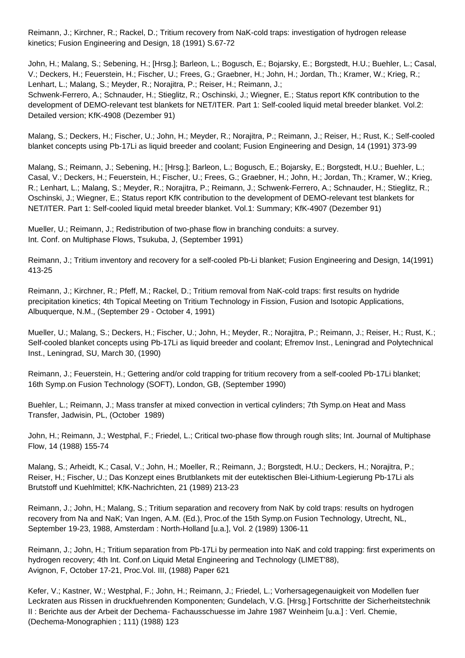Reimann, J.; Kirchner, R.; Rackel, D.; Tritium recovery from NaK-cold traps: investigation of hydrogen release kinetics; Fusion Engineering and Design, 18 (1991) S.67-72

John, H.; Malang, S.; Sebening, H.; [Hrsg.]; Barleon, L.; Bogusch, E.; Bojarsky, E.; Borgstedt, H.U.; Buehler, L.; Casal, V.; Deckers, H.; Feuerstein, H.; Fischer, U.; Frees, G.; Graebner, H.; John, H.; Jordan, Th.; Kramer, W.; Krieg, R.; Lenhart, L.; Malang, S.; Meyder, R.; Norajitra, P.; Reiser, H.; Reimann, J.;

Schwenk-Ferrero, A.; Schnauder, H.; Stieglitz, R.; Oschinski, J.; Wiegner, E.; Status report KfK contribution to the development of DEMO-relevant test blankets for NET/ITER. Part 1: Self-cooled liquid metal breeder blanket. Vol.2: Detailed version; KfK-4908 (Dezember 91)

Malang, S.; Deckers, H.; Fischer, U.; John, H.; Meyder, R.; Norajitra, P.; Reimann, J.; Reiser, H.; Rust, K.; Self-cooled blanket concepts using Pb-17Li as liquid breeder and coolant; Fusion Engineering and Design, 14 (1991) 373-99

Malang, S.; Reimann, J.; Sebening, H.; [Hrsg.]; Barleon, L.; Bogusch, E.; Bojarsky, E.; Borgstedt, H.U.; Buehler, L.; Casal, V.; Deckers, H.; Feuerstein, H.; Fischer, U.; Frees, G.; Graebner, H.; John, H.; Jordan, Th.; Kramer, W.; Krieg, R.; Lenhart, L.; Malang, S.; Meyder, R.; Norajitra, P.; Reimann, J.; Schwenk-Ferrero, A.; Schnauder, H.; Stieglitz, R.; Oschinski, J.; Wiegner, E.; Status report KfK contribution to the development of DEMO-relevant test blankets for NET/ITER. Part 1: Self-cooled liquid metal breeder blanket. Vol.1: Summary; KfK-4907 (Dezember 91)

Mueller, U.; Reimann, J.; Redistribution of two-phase flow in branching conduits: a survey. Int. Conf. on Multiphase Flows, Tsukuba, J, (September 1991)

Reimann, J.; Tritium inventory and recovery for a self-cooled Pb-Li blanket; Fusion Engineering and Design, 14(1991) 413-25

Reimann, J.; Kirchner, R.; Pfeff, M.; Rackel, D.; Tritium removal from NaK-cold traps: first results on hydride precipitation kinetics; 4th Topical Meeting on Tritium Technology in Fission, Fusion and Isotopic Applications, Albuquerque, N.M., (September 29 - October 4, 1991)

Mueller, U.; Malang, S.; Deckers, H.; Fischer, U.; John, H.; Meyder, R.; Norajitra, P.; Reimann, J.; Reiser, H.; Rust, K.; Self-cooled blanket concepts using Pb-17Li as liquid breeder and coolant; Efremov Inst., Leningrad and Polytechnical Inst., Leningrad, SU, March 30, (1990)

Reimann, J.; Feuerstein, H.; Gettering and/or cold trapping for tritium recovery from a self-cooled Pb-17Li blanket; 16th Symp.on Fusion Technology (SOFT), London, GB, (September 1990)

Buehler, L.; Reimann, J.; Mass transfer at mixed convection in vertical cylinders; 7th Symp.on Heat and Mass Transfer, Jadwisin, PL, (October 1989)

John, H.; Reimann, J.; Westphal, F.; Friedel, L.; Critical two-phase flow through rough slits; Int. Journal of Multiphase Flow, 14 (1988) 155-74

Malang, S.; Arheidt, K.; Casal, V.; John, H.; Moeller, R.; Reimann, J.; Borgstedt, H.U.; Deckers, H.; Norajitra, P.; Reiser, H.; Fischer, U.; Das Konzept eines Brutblankets mit der eutektischen Blei-Lithium-Legierung Pb-17Li als Brutstoff und Kuehlmittel; KfK-Nachrichten, 21 (1989) 213-23

Reimann, J.; John, H.; Malang, S.; Tritium separation and recovery from NaK by cold traps: results on hydrogen recovery from Na and NaK; Van Ingen, A.M. (Ed.), Proc.of the 15th Symp.on Fusion Technology, Utrecht, NL, September 19-23, 1988, Amsterdam : North-Holland [u.a.], Vol. 2 (1989) 1306-11

Reimann, J.; John, H.; Tritium separation from Pb-17Li by permeation into NaK and cold trapping: first experiments on hydrogen recovery; 4th Int. Conf.on Liquid Metal Engineering and Technology (LIMET'88), Avignon, F, October 17-21, Proc.Vol. III, (1988) Paper 621

Kefer, V.; Kastner, W.; Westphal, F.; John, H.; Reimann, J.; Friedel, L.; Vorhersagegenauigkeit von Modellen fuer Leckraten aus Rissen in druckfuehrenden Komponenten; Gundelach, V.G. [Hrsg.] Fortschritte der Sicherheitstechnik II : Berichte aus der Arbeit der Dechema- Fachausschuesse im Jahre 1987 Weinheim [u.a.] : Verl. Chemie, (Dechema-Monographien ; 111) (1988) 123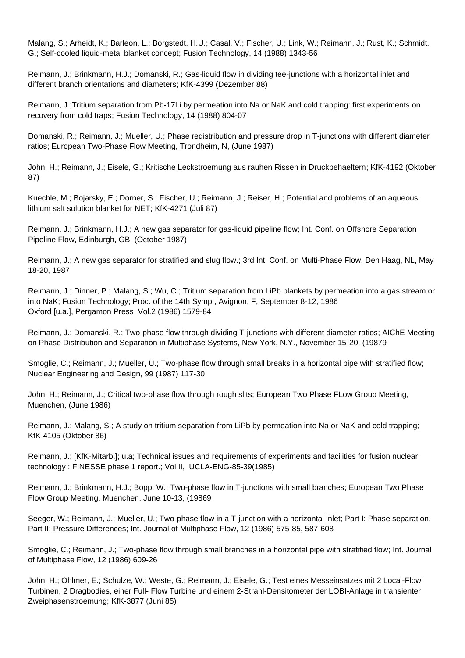Malang, S.; Arheidt, K.; Barleon, L.; Borgstedt, H.U.; Casal, V.; Fischer, U.; Link, W.; Reimann, J.; Rust, K.; Schmidt, G.; Self-cooled liquid-metal blanket concept; Fusion Technology, 14 (1988) 1343-56

Reimann, J.; Brinkmann, H.J.; Domanski, R.; Gas-liquid flow in dividing tee-junctions with a horizontal inlet and different branch orientations and diameters; KfK-4399 (Dezember 88)

Reimann, J.;Tritium separation from Pb-17Li by permeation into Na or NaK and cold trapping: first experiments on recovery from cold traps; Fusion Technology, 14 (1988) 804-07

Domanski, R.; Reimann, J.; Mueller, U.; Phase redistribution and pressure drop in T-junctions with different diameter ratios; European Two-Phase Flow Meeting, Trondheim, N, (June 1987)

John, H.; Reimann, J.; Eisele, G.; Kritische Leckstroemung aus rauhen Rissen in Druckbehaeltern; KfK-4192 (Oktober 87)

Kuechle, M.; Bojarsky, E.; Dorner, S.; Fischer, U.; Reimann, J.; Reiser, H.; Potential and problems of an aqueous lithium salt solution blanket for NET; KfK-4271 (Juli 87)

Reimann, J.; Brinkmann, H.J.; A new gas separator for gas-liquid pipeline flow; Int. Conf. on Offshore Separation Pipeline Flow, Edinburgh, GB, (October 1987)

Reimann, J.; A new gas separator for stratified and slug flow.; 3rd Int. Conf. on Multi-Phase Flow, Den Haag, NL, May 18-20, 1987

Reimann, J.; Dinner, P.; Malang, S.; Wu, C.; Tritium separation from LiPb blankets by permeation into a gas stream or into NaK; Fusion Technology; Proc. of the 14th Symp., Avignon, F, September 8-12, 1986 Oxford [u.a.], Pergamon Press Vol.2 (1986) 1579-84

Reimann, J.; Domanski, R.; Two-phase flow through dividing T-junctions with different diameter ratios; AIChE Meeting on Phase Distribution and Separation in Multiphase Systems, New York, N.Y., November 15-20, (19879

Smoglie, C.; Reimann, J.; Mueller, U.; Two-phase flow through small breaks in a horizontal pipe with stratified flow; Nuclear Engineering and Design, 99 (1987) 117-30

John, H.; Reimann, J.; Critical two-phase flow through rough slits; European Two Phase FLow Group Meeting, Muenchen, (June 1986)

Reimann, J.; Malang, S.; A study on tritium separation from LiPb by permeation into Na or NaK and cold trapping; KfK-4105 (Oktober 86)

Reimann, J.; [KfK-Mitarb.]; u.a; Technical issues and requirements of experiments and facilities for fusion nuclear technology : FINESSE phase 1 report.; Vol.II, UCLA-ENG-85-39(1985)

Reimann, J.; Brinkmann, H.J.; Bopp, W.; Two-phase flow in T-junctions with small branches; European Two Phase Flow Group Meeting, Muenchen, June 10-13, (19869

Seeger, W.; Reimann, J.; Mueller, U.; Two-phase flow in a T-junction with a horizontal inlet; Part I: Phase separation. Part II: Pressure Differences; Int. Journal of Multiphase Flow, 12 (1986) 575-85, 587-608

Smoglie, C.; Reimann, J.; Two-phase flow through small branches in a horizontal pipe with stratified flow; Int. Journal of Multiphase Flow, 12 (1986) 609-26

John, H.; Ohlmer, E.; Schulze, W.; Weste, G.; Reimann, J.; Eisele, G.; Test eines Messeinsatzes mit 2 Local-Flow Turbinen, 2 Dragbodies, einer Full- Flow Turbine und einem 2-Strahl-Densitometer der LOBI-Anlage in transienter Zweiphasenstroemung; KfK-3877 (Juni 85)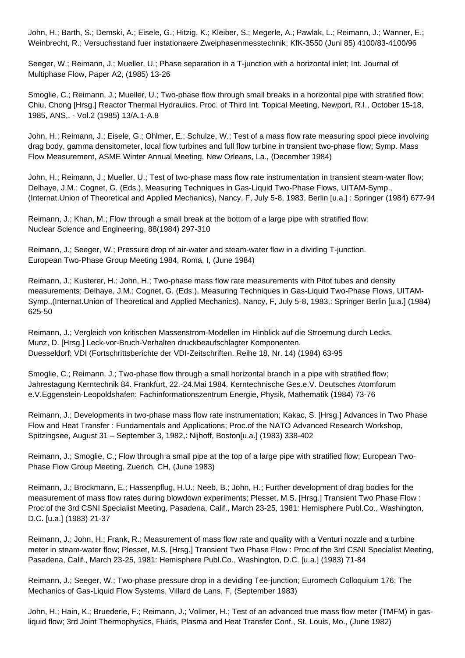John, H.; Barth, S.; Demski, A.; Eisele, G.; Hitzig, K.; Kleiber, S.; Megerle, A.; Pawlak, L.; Reimann, J.; Wanner, E.; Weinbrecht, R.; Versuchsstand fuer instationaere Zweiphasenmesstechnik; KfK-3550 (Juni 85) 4100/83-4100/96

Seeger, W.; Reimann, J.; Mueller, U.; Phase separation in a T-junction with a horizontal inlet; Int. Journal of Multiphase Flow, Paper A2, (1985) 13-26

Smoglie, C.; Reimann, J.; Mueller, U.; Two-phase flow through small breaks in a horizontal pipe with stratified flow; Chiu, Chong [Hrsg.] Reactor Thermal Hydraulics. Proc. of Third Int. Topical Meeting, Newport, R.I., October 15-18, 1985, ANS,. - Vol.2 (1985) 13/A.1-A.8

John, H.; Reimann, J.; Eisele, G.; Ohlmer, E.; Schulze, W.; Test of a mass flow rate measuring spool piece involving drag body, gamma densitometer, local flow turbines and full flow turbine in transient two-phase flow; Symp. Mass Flow Measurement, ASME Winter Annual Meeting, New Orleans, La., (December 1984)

John, H.; Reimann, J.; Mueller, U.; Test of two-phase mass flow rate instrumentation in transient steam-water flow; Delhaye, J.M.; Cognet, G. (Eds.), Measuring Techniques in Gas-Liquid Two-Phase Flows, UITAM-Symp., (Internat.Union of Theoretical and Applied Mechanics), Nancy, F, July 5-8, 1983, Berlin [u.a.] : Springer (1984) 677-94

Reimann, J.; Khan, M.; Flow through a small break at the bottom of a large pipe with stratified flow; Nuclear Science and Engineering, 88(1984) 297-310

Reimann, J.; Seeger, W.; Pressure drop of air-water and steam-water flow in a dividing T-junction. European Two-Phase Group Meeting 1984, Roma, I, (June 1984)

Reimann, J.; Kusterer, H.; John, H.; Two-phase mass flow rate measurements with Pitot tubes and density measurements; Delhaye, J.M.; Cognet, G. (Eds.), Measuring Techniques in Gas-Liquid Two-Phase Flows, UITAM-Symp.,(Internat.Union of Theoretical and Applied Mechanics), Nancy, F, July 5-8, 1983,: Springer Berlin [u.a.] (1984) 625-50

Reimann, J.; Vergleich von kritischen Massenstrom-Modellen im Hinblick auf die Stroemung durch Lecks. Munz, D. [Hrsg.] Leck-vor-Bruch-Verhalten druckbeaufschlagter Komponenten. Duesseldorf: VDI (Fortschrittsberichte der VDI-Zeitschriften. Reihe 18, Nr. 14) (1984) 63-95

Smoglie, C.; Reimann, J.; Two-phase flow through a small horizontal branch in a pipe with stratified flow; Jahrestagung Kerntechnik 84. Frankfurt, 22.-24.Mai 1984. Kerntechnische Ges.e.V. Deutsches Atomforum e.V.Eggenstein-Leopoldshafen: Fachinformationszentrum Energie, Physik, Mathematik (1984) 73-76

Reimann, J.; Developments in two-phase mass flow rate instrumentation; Kakac, S. [Hrsg.] Advances in Two Phase Flow and Heat Transfer : Fundamentals and Applications; Proc.of the NATO Advanced Research Workshop, Spitzingsee, August 31 – September 3, 1982,: Nijhoff, Boston[u.a.] (1983) 338-402

Reimann, J.; Smoglie, C.; Flow through a small pipe at the top of a large pipe with stratified flow; European Two-Phase Flow Group Meeting, Zuerich, CH, (June 1983)

Reimann, J.; Brockmann, E.; Hassenpflug, H.U.; Neeb, B.; John, H.; Further development of drag bodies for the measurement of mass flow rates during blowdown experiments; Plesset, M.S. [Hrsg.] Transient Two Phase Flow : Proc.of the 3rd CSNI Specialist Meeting, Pasadena, Calif., March 23-25, 1981: Hemisphere Publ.Co., Washington, D.C. [u.a.] (1983) 21-37

Reimann, J.; John, H.; Frank, R.; Measurement of mass flow rate and quality with a Venturi nozzle and a turbine meter in steam-water flow; Plesset, M.S. [Hrsg.] Transient Two Phase Flow : Proc.of the 3rd CSNI Specialist Meeting, Pasadena, Calif., March 23-25, 1981: Hemisphere Publ.Co., Washington, D.C. [u.a.] (1983) 71-84

Reimann, J.; Seeger, W.; Two-phase pressure drop in a deviding Tee-junction; Euromech Colloquium 176; The Mechanics of Gas-Liquid Flow Systems, Villard de Lans, F, (September 1983)

John, H.; Hain, K.; Bruederle, F.; Reimann, J.; Vollmer, H.; Test of an advanced true mass flow meter (TMFM) in gasliquid flow; 3rd Joint Thermophysics, Fluids, Plasma and Heat Transfer Conf., St. Louis, Mo., (June 1982)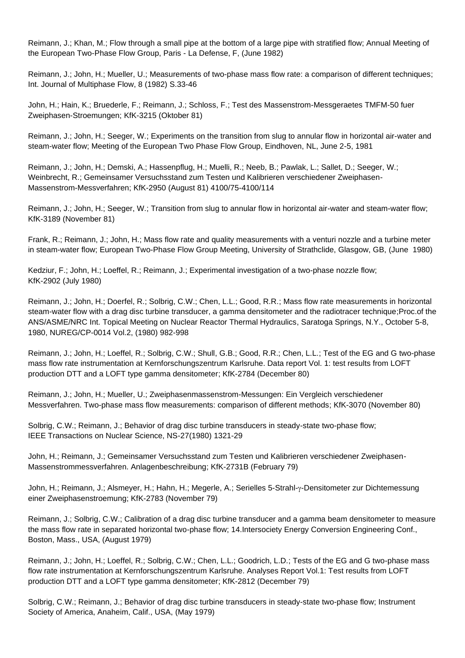Reimann, J.; Khan, M.; Flow through a small pipe at the bottom of a large pipe with stratified flow; Annual Meeting of the European Two-Phase Flow Group, Paris - La Defense, F, (June 1982)

Reimann, J.; John, H.; Mueller, U.; Measurements of two-phase mass flow rate: a comparison of different techniques; Int. Journal of Multiphase Flow, 8 (1982) S.33-46

John, H.; Hain, K.; Bruederle, F.; Reimann, J.; Schloss, F.; Test des Massenstrom-Messgeraetes TMFM-50 fuer Zweiphasen-Stroemungen; KfK-3215 (Oktober 81)

Reimann, J.; John, H.; Seeger, W.; Experiments on the transition from slug to annular flow in horizontal air-water and steam-water flow; Meeting of the European Two Phase Flow Group, Eindhoven, NL, June 2-5, 1981

Reimann, J.; John, H.; Demski, A.; Hassenpflug, H.; Muelli, R.; Neeb, B.; Pawlak, L.; Sallet, D.; Seeger, W.; Weinbrecht, R.; Gemeinsamer Versuchsstand zum Testen und Kalibrieren verschiedener Zweiphasen-Massenstrom-Messverfahren; KfK-2950 (August 81) 4100/75-4100/114

Reimann, J.; John, H.; Seeger, W.; Transition from slug to annular flow in horizontal air-water and steam-water flow; KfK-3189 (November 81)

Frank, R.; Reimann, J.; John, H.; Mass flow rate and quality measurements with a venturi nozzle and a turbine meter in steam-water flow; European Two-Phase Flow Group Meeting, University of Strathclide, Glasgow, GB, (June 1980)

Kedziur, F.; John, H.; Loeffel, R.; Reimann, J.; Experimental investigation of a two-phase nozzle flow; KfK-2902 (July 1980)

Reimann, J.; John, H.; Doerfel, R.; Solbrig, C.W.; Chen, L.L.; Good, R.R.; Mass flow rate measurements in horizontal steam-water flow with a drag disc turbine transducer, a gamma densitometer and the radiotracer technique;Proc.of the ANS/ASME/NRC Int. Topical Meeting on Nuclear Reactor Thermal Hydraulics, Saratoga Springs, N.Y., October 5-8, 1980, NUREG/CP-0014 Vol.2, (1980) 982-998

Reimann, J.; John, H.; Loeffel, R.; Solbrig, C.W.; Shull, G.B.; Good, R.R.; Chen, L.L.; Test of the EG and G two-phase mass flow rate instrumentation at Kernforschungszentrum Karlsruhe. Data report Vol. 1: test results from LOFT production DTT and a LOFT type gamma densitometer; KfK-2784 (December 80)

Reimann, J.; John, H.; Mueller, U.; Zweiphasenmassenstrom-Messungen: Ein Vergleich verschiedener Messverfahren. Two-phase mass flow measurements: comparison of different methods; KfK-3070 (November 80)

Solbrig, C.W.; Reimann, J.; Behavior of drag disc turbine transducers in steady-state two-phase flow; IEEE Transactions on Nuclear Science, NS-27(1980) 1321-29

John, H.; Reimann, J.; Gemeinsamer Versuchsstand zum Testen und Kalibrieren verschiedener Zweiphasen-Massenstrommessverfahren. Anlagenbeschreibung; KfK-2731B (February 79)

John, H.; Reimann, J.; Alsmeyer, H.; Hahn, H.; Megerle, A.; Serielles 5-Strahl- $\gamma$ -Densitometer zur Dichtemessung einer Zweiphasenstroemung; KfK-2783 (November 79)

Reimann, J.; Solbrig, C.W.; Calibration of a drag disc turbine transducer and a gamma beam densitometer to measure the mass flow rate in separated horizontal two-phase flow; 14.Intersociety Energy Conversion Engineering Conf., Boston, Mass., USA, (August 1979)

Reimann, J.; John, H.; Loeffel, R.; Solbrig, C.W.; Chen, L.L.; Goodrich, L.D.; Tests of the EG and G two-phase mass flow rate instrumentation at Kernforschungszentrum Karlsruhe. Analyses Report Vol.1: Test results from LOFT production DTT and a LOFT type gamma densitometer; KfK-2812 (December 79)

Solbrig, C.W.; Reimann, J.; Behavior of drag disc turbine transducers in steady-state two-phase flow; Instrument Society of America, Anaheim, Calif., USA, (May 1979)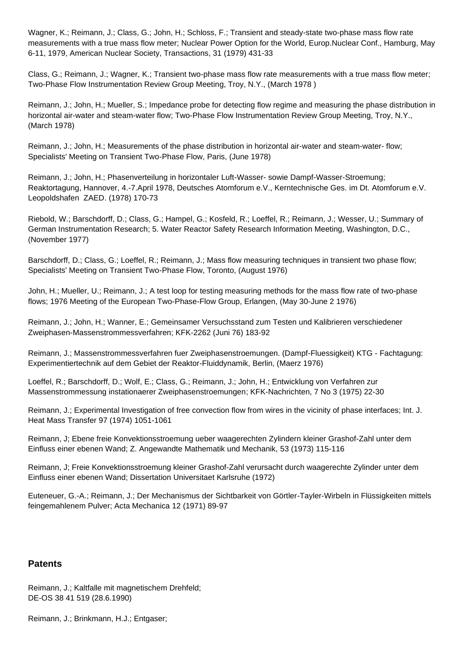Wagner, K.; Reimann, J.; Class, G.; John, H.; Schloss, F.; Transient and steady-state two-phase mass flow rate measurements with a true mass flow meter; Nuclear Power Option for the World, Europ.Nuclear Conf., Hamburg, May 6-11, 1979, American Nuclear Society, Transactions, 31 (1979) 431-33

Class, G.; Reimann, J.; Wagner, K.; Transient two-phase mass flow rate measurements with a true mass flow meter; Two-Phase Flow Instrumentation Review Group Meeting, Troy, N.Y., (March 1978 )

Reimann, J.; John, H.; Mueller, S.; Impedance probe for detecting flow regime and measuring the phase distribution in horizontal air-water and steam-water flow; Two-Phase Flow Instrumentation Review Group Meeting, Troy, N.Y., (March 1978)

Reimann, J.; John, H.; Measurements of the phase distribution in horizontal air-water and steam-water- flow; Specialists' Meeting on Transient Two-Phase Flow, Paris, (June 1978)

Reimann, J.; John, H.; Phasenverteilung in horizontaler Luft-Wasser- sowie Dampf-Wasser-Stroemung; Reaktortagung, Hannover, 4.-7.April 1978, Deutsches Atomforum e.V., Kerntechnische Ges. im Dt. Atomforum e.V. Leopoldshafen ZAED. (1978) 170-73

Riebold, W.; Barschdorff, D.; Class, G.; Hampel, G.; Kosfeld, R.; Loeffel, R.; Reimann, J.; Wesser, U.; Summary of German Instrumentation Research; 5. Water Reactor Safety Research Information Meeting, Washington, D.C., (November 1977)

Barschdorff, D.; Class, G.; Loeffel, R.; Reimann, J.; Mass flow measuring techniques in transient two phase flow; Specialists' Meeting on Transient Two-Phase Flow, Toronto, (August 1976)

John, H.; Mueller, U.; Reimann, J.; A test loop for testing measuring methods for the mass flow rate of two-phase flows; 1976 Meeting of the European Two-Phase-Flow Group, Erlangen, (May 30-June 2 1976)

Reimann, J.; John, H.; Wanner, E.; Gemeinsamer Versuchsstand zum Testen und Kalibrieren verschiedener Zweiphasen-Massenstrommessverfahren; KFK-2262 (Juni 76) 183-92

Reimann, J.; Massenstrommessverfahren fuer Zweiphasenstroemungen. (Dampf-Fluessigkeit) KTG - Fachtagung: Experimentiertechnik auf dem Gebiet der Reaktor-Fluiddynamik, Berlin, (Maerz 1976)

Loeffel, R.; Barschdorff, D.; Wolf, E.; Class, G.; Reimann, J.; John, H.; Entwicklung von Verfahren zur Massenstrommessung instationaerer Zweiphasenstroemungen; KFK-Nachrichten, 7 No 3 (1975) 22-30

Reimann, J.; Experimental Investigation of free convection flow from wires in the vicinity of phase interfaces; Int. J. Heat Mass Transfer 97 (1974) 1051-1061

Reimann, J; Ebene freie Konvektionsstroemung ueber waagerechten Zylindern kleiner Grashof-Zahl unter dem Einfluss einer ebenen Wand; Z. Angewandte Mathematik und Mechanik, 53 (1973) 115-116

Reimann, J; Freie Konvektionsstroemung kleiner Grashof-Zahl verursacht durch waagerechte Zylinder unter dem Einfluss einer ebenen Wand; Dissertation Universitaet Karlsruhe (1972)

Euteneuer, G.-A.; Reimann, J.; Der Mechanismus der Sichtbarkeit von Görtler-Tayler-Wirbeln in Flüssigkeiten mittels feingemahlenem Pulver; Acta Mechanica 12 (1971) 89-97

## **Patents**

Reimann, J.; Kaltfalle mit magnetischem Drehfeld; DE-OS 38 41 519 (28.6.1990)

Reimann, J.; Brinkmann, H.J.; Entgaser;